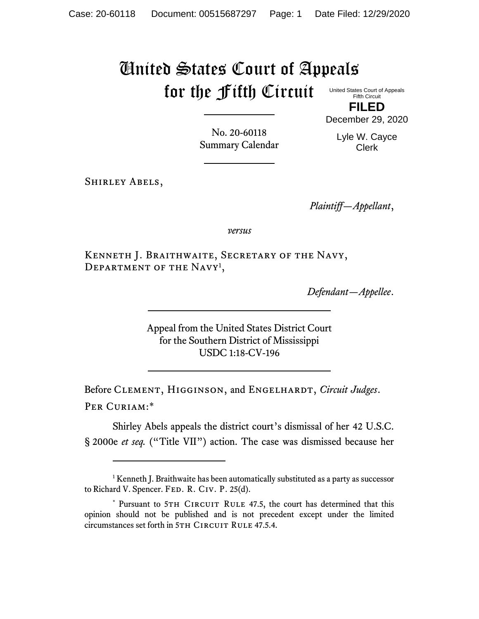## United States Court of Appeals for the Fifth Circuit

United States Court of Appeals Fifth Circuit

**FILED** December 29, 2020

> Lyle W. Cayce Clerk

No. 20-60118 Summary Calendar

Shirley Abels,

*Plaintiff—Appellant*,

*versus*

Kenneth J. Braithwaite, Secretary of the Navy, DEPARTMENT OF THE NAVY<sup>1</sup>,

*Defendant—Appellee*.

Appeal from the United States District Court for the Southern District of Mississippi USDC 1:18-CV-196

Before CLEMENT, HIGGINSON, and ENGELHARDT, *Circuit Judges*. Per Curiam:\*

Shirley Abels appeals the district court's dismissal of her 42 U.S.C. § 2000e *et seq.* ("Title VII") action. The case was dismissed because her

<sup>&</sup>lt;sup>1</sup> Kenneth J. Braithwaite has been automatically substituted as a party as successor to Richard V. Spencer. FED. R. CIV. P. 25(d).

<sup>\*</sup> Pursuant to 5TH CIRCUIT RULE 47.5, the court has determined that this opinion should not be published and is not precedent except under the limited circumstances set forth in 5TH CIRCUIT RULE 47.5.4.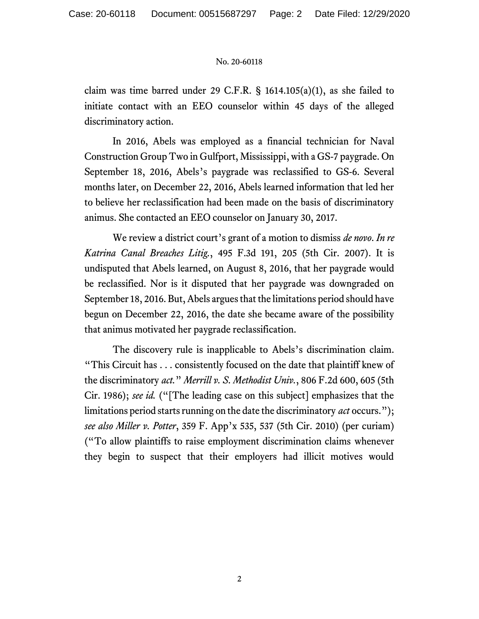## No. 20-60118

claim was time barred under 29 C.F.R.  $\S$  1614.105(a)(1), as she failed to initiate contact with an EEO counselor within 45 days of the alleged discriminatory action.

In 2016, Abels was employed as a financial technician for Naval Construction Group Two in Gulfport, Mississippi, with a GS-7 paygrade. On September 18, 2016, Abels's paygrade was reclassified to GS-6. Several months later, on December 22, 2016, Abels learned information that led her to believe her reclassification had been made on the basis of discriminatory animus. She contacted an EEO counselor on January 30, 2017.

We review a district court's grant of a motion to dismiss *de novo*. *In re Katrina Canal Breaches Litig.*, 495 F.3d 191, 205 (5th Cir. 2007). It is undisputed that Abels learned, on August 8, 2016, that her paygrade would be reclassified. Nor is it disputed that her paygrade was downgraded on September 18, 2016. But, Abels argues that the limitations period should have begun on December 22, 2016, the date she became aware of the possibility that animus motivated her paygrade reclassification.

The discovery rule is inapplicable to Abels's discrimination claim. "This Circuit has . . . consistently focused on the date that plaintiff knew of the discriminatory *act.*" *Merrill v. S. Methodist Univ.*, 806 F.2d 600, 605 (5th Cir. 1986); *see id.* ("[The leading case on this subject] emphasizes that the limitations period starts running on the date the discriminatory *act* occurs."); *see also Miller v. Potter*, 359 F. App'x 535, 537 (5th Cir. 2010) (per curiam) ("To allow plaintiffs to raise employment discrimination claims whenever they begin to suspect that their employers had illicit motives would